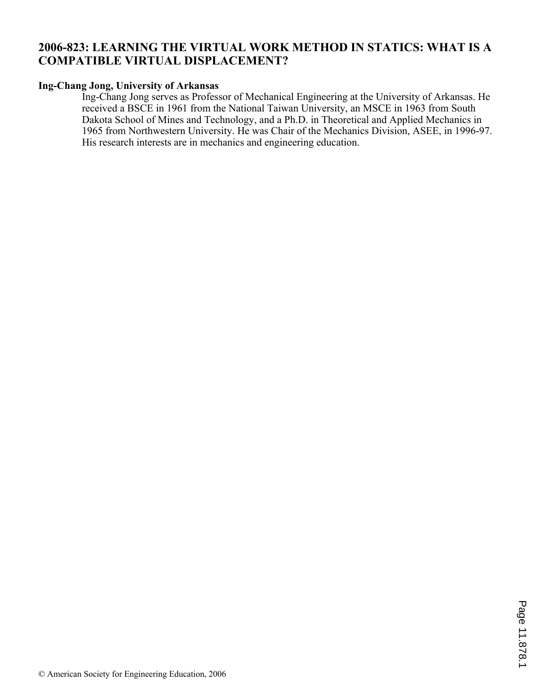# **2006-823: LEARNING THE VIRTUAL WORK METHOD IN STATICS: WHAT IS A COMPATIBLE VIRTUAL DISPLACEMENT?**

# **Ing-Chang Jong, University of Arkansas**

Ing-Chang Jong serves as Professor of Mechanical Engineering at the University of Arkansas. He received a BSCE in 1961 from the National Taiwan University, an MSCE in 1963 from South Dakota School of Mines and Technology, and a Ph.D. in Theoretical and Applied Mechanics in 1965 from Northwestern University. He was Chair of the Mechanics Division, ASEE, in 1996-97. His research interests are in mechanics and engineering education.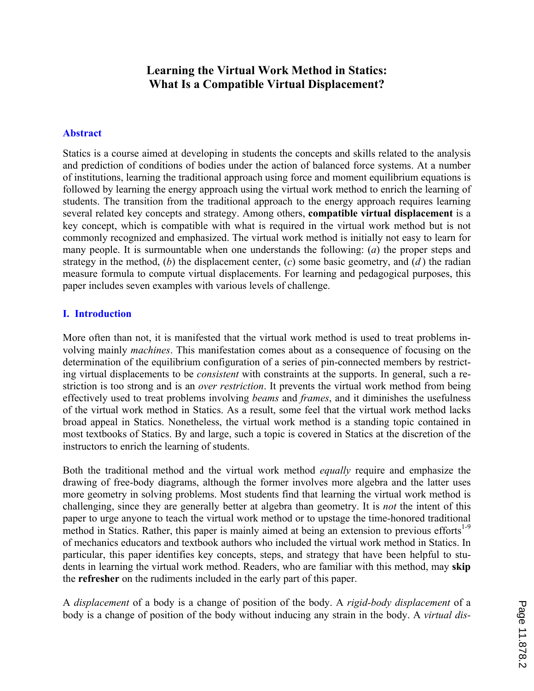# **Learning the Virtual Work Method in Statics: What Is a Compatible Virtual Displacement?**

# **Abstract**

Statics is a course aimed at developing in students the concepts and skills related to the analysis and prediction of conditions of bodies under the action of balanced force systems. At a number of institutions, learning the traditional approach using force and moment equilibrium equations is followed by learning the energy approach using the virtual work method to enrich the learning of students. The transition from the traditional approach to the energy approach requires learning several related key concepts and strategy. Among others, **compatible virtual displacement** is a key concept, which is compatible with what is required in the virtual work method but is not commonly recognized and emphasized. The virtual work method is initially not easy to learn for many people. It is surmountable when one understands the following: (*a*) the proper steps and strategy in the method, (*b*) the displacement center, (*c*) some basic geometry, and (*d* ) the radian measure formula to compute virtual displacements. For learning and pedagogical purposes, this paper includes seven examples with various levels of challenge.

### **I. Introduction**

More often than not, it is manifested that the virtual work method is used to treat problems involving mainly *machines*. This manifestation comes about as a consequence of focusing on the determination of the equilibrium configuration of a series of pin-connected members by restricting virtual displacements to be *consistent* with constraints at the supports. In general, such a restriction is too strong and is an *over restriction*. It prevents the virtual work method from being effectively used to treat problems involving *beams* and *frames*, and it diminishes the usefulness of the virtual work method in Statics. As a result, some feel that the virtual work method lacks broad appeal in Statics. Nonetheless, the virtual work method is a standing topic contained in most textbooks of Statics. By and large, such a topic is covered in Statics at the discretion of the instructors to enrich the learning of students.

Both the traditional method and the virtual work method *equally* require and emphasize the drawing of free-body diagrams, although the former involves more algebra and the latter uses more geometry in solving problems. Most students find that learning the virtual work method is challenging, since they are generally better at algebra than geometry. It is *not* the intent of this paper to urge anyone to teach the virtual work method or to upstage the time-honored traditional method in Statics. Rather, this paper is mainly aimed at being an extension to previous efforts<sup>1-9</sup> of mechanics educators and textbook authors who included the virtual work method in Statics. In particular, this paper identifies key concepts, steps, and strategy that have been helpful to students in learning the virtual work method. Readers, who are familiar with this method, may **skip** the **refresher** on the rudiments included in the early part of this paper.

A *displacement* of a body is a change of position of the body. A *rigid-body displacement* of a body is a change of position of the body without inducing any strain in the body. A *virtual dis-*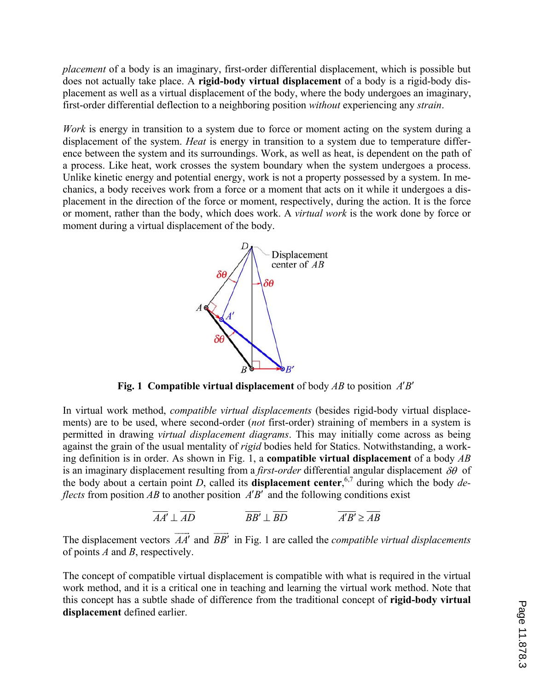*placement* of a body is an imaginary, first-order differential displacement, which is possible but does not actually take place. A **rigid-body virtual displacement** of a body is a rigid-body displacement as well as a virtual displacement of the body, where the body undergoes an imaginary, first-order differential deflection to a neighboring position *without* experiencing any *strain*.

*Work* is energy in transition to a system due to force or moment acting on the system during a displacement of the system. *Heat* is energy in transition to a system due to temperature difference between the system and its surroundings. Work, as well as heat, is dependent on the path of a process. Like heat, work crosses the system boundary when the system undergoes a process. Unlike kinetic energy and potential energy, work is not a property possessed by a system. In mechanics, a body receives work from a force or a moment that acts on it while it undergoes a displacement in the direction of the force or moment, respectively, during the action. It is the force or moment, rather than the body, which does work. A *virtual work* is the work done by force or moment during a virtual displacement of the body.



**Fig. 1 Compatible virtual displacement** of body  $AB$  to position  $A'B'$ 

In virtual work method, *compatible virtual displacements* (besides rigid-body virtual displacements) are to be used, where second-order (*not* first-order) straining of members in a system is permitted in drawing *virtual displacement diagrams*. This may initially come across as being against the grain of the usual mentality of *rigid* bodies held for Statics. Notwithstanding, a working definition is in order. As shown in Fig. 1, a **compatible virtual displacement** of a body *AB* is an imaginary displacement resulting from a *first-order* differential angular displacement  $\delta\theta$  of the body about a certain point *D*, called its **displacement center**, 6,7 during which the body *deflects* from position *AB* to another position *A'B'* and the following conditions exist

$$
\overline{AA'} \perp \overline{AD} \qquad \qquad \overline{BB'} \perp \overline{BD} \qquad \qquad \overline{A'B'} \ge \overline{AB}
$$

The displacement vectors  $AA'$  $\overline{\phantom{a}}$ and *BB'*  $\equiv$  in Fig. 1 are called the *compatible virtual displacements* of points *A* and *B*, respectively.

The concept of compatible virtual displacement is compatible with what is required in the virtual work method, and it is a critical one in teaching and learning the virtual work method. Note that this concept has a subtle shade of difference from the traditional concept of **rigid-body virtual displacement** defined earlier.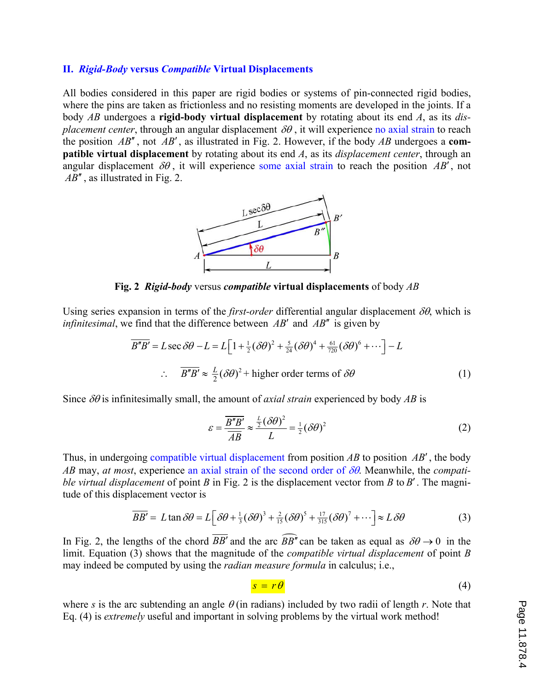#### **II.** *Rigid-Body* **versus** *Compatible* **Virtual Displacements**

All bodies considered in this paper are rigid bodies or systems of pin-connected rigid bodies, where the pins are taken as frictionless and no resisting moments are developed in the joints. If a body *AB* undergoes a **rigid-body virtual displacement** by rotating about its end *A*, as its *displacement center*, through an angular displacement  $\delta\theta$ , it will experience no axial strain to reach the position  $AB''$ , not  $AB'$ , as illustrated in Fig. 2. However, if the body  $AB$  undergoes a **compatible virtual displacement** by rotating about its end *A*, as its *displacement center*, through an angular displacement  $\delta\theta$ , it will experience some axial strain to reach the position AB', not AB'', as illustrated in Fig. 2.



**Fig. 2** *Rigid-body* versus *compatible* **virtual displacements** of body *AB*

Using series expansion in terms of the *first-order* differential angular displacement  $\delta\theta$ , which is *infinitesimal*, we find that the difference between  $AB'$  and  $AB''$  is given by

$$
\overline{B''B'} = L \sec \delta\theta - L = L \Big[ 1 + \frac{1}{2} (\delta\theta)^2 + \frac{5}{24} (\delta\theta)^4 + \frac{61}{720} (\delta\theta)^6 + \cdots \Big] - L
$$
  
 
$$
\therefore \quad \overline{B''B'} \approx \frac{L}{2} (\delta\theta)^2 + \text{higher order terms of } \delta\theta \tag{1}
$$

Since  $\delta\theta$  is infinitesimally small, the amount of *axial strain* experienced by body *AB* is

$$
\varepsilon = \frac{\overline{B''B'}}{\overline{AB}} \approx \frac{\frac{L}{2}(\delta\theta)^2}{L} = \frac{1}{2}(\delta\theta)^2
$$
 (2)

Thus, in undergoing compatible virtual displacement from position  $AB$  to position  $AB'$ , the body *AB* may, *at most*, experience an axial strain of the second order of  $\delta\theta$ . Meanwhile, the *compatible virtual displacement* of point  $B$  in Fig. 2 is the displacement vector from  $B$  to  $B'$ . The magnitude of this displacement vector is

$$
\overline{BB'} = L \tan \delta \theta = L \Big[ \delta \theta + \frac{1}{3} (\delta \theta)^3 + \frac{2}{15} (\delta \theta)^5 + \frac{17}{315} (\delta \theta)^7 + \cdots \Big] \approx L \delta \theta \tag{3}
$$

In Fig. 2, the lengths of the chord  $\overline{BB'}$  and the arc  $\widehat{BB''}$  can be taken as equal as  $\delta\theta \rightarrow 0$  in the limit. Equation (3) shows that the magnitude of the *compatible virtual displacement* of point *B* may indeed be computed by using the *radian measure formula* in calculus; i.e.,

$$
s = r\theta \tag{4}
$$

where *s* is the arc subtending an angle  $\theta$  (in radians) included by two radii of length *r*. Note that Eq. (4) is *extremely* useful and important in solving problems by the virtual work method!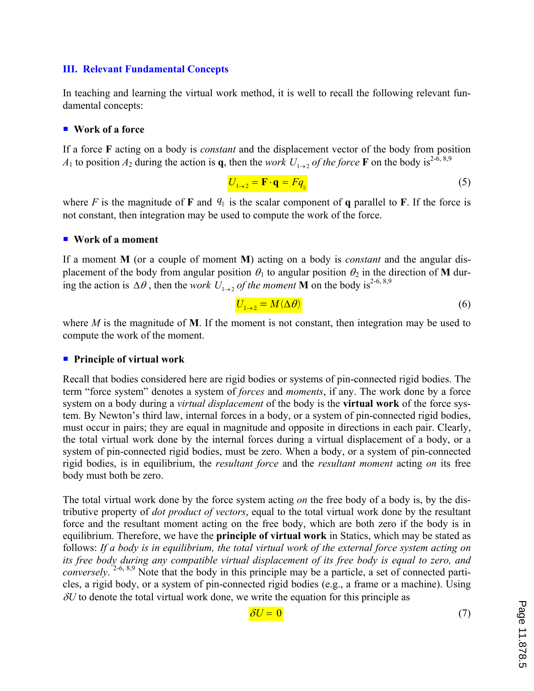# **III. Relevant Fundamental Concepts**

In teaching and learning the virtual work method, it is well to recall the following relevant fundamental concepts:

### ■ Work of a force

If a force **F** acting on a body is *constant* and the displacement vector of the body from position *A*<sub>1</sub> to position *A*<sub>2</sub> during the action is **q**, then the *work*  $U_{1\rightarrow 2}$  *of the force* **F** on the body is<sup>2-6, 8,9</sup>

$$
U_{1\to 2} = \mathbf{F} \cdot \mathbf{q} = Fq_{\parallel}
$$
 (5)

where *F* is the magnitude of **F** and  $q_{\parallel}$  is the scalar component of **q** parallel to **F**. If the force is not constant, then integration may be used to compute the work of the force.

#### ■ Work of a moment

If a moment **M** (or a couple of moment **M**) acting on a body is *constant* and the angular displacement of the body from angular position  $\theta_1$  to angular position  $\theta_2$  in the direction of **M** during the action is  $\Delta\theta$ , then the *work*  $U_{1\rightarrow 2}$  *of the moment* **M** on the body is<sup>2-6, 8,9</sup>

$$
U_{1\rightarrow 2} = M(\Delta\theta)
$$
 (6)

where *M* is the magnitude of **M**. If the moment is not constant, then integration may be used to compute the work of the moment.

#### ̇ **Principle of virtual work**

Recall that bodies considered here are rigid bodies or systems of pin-connected rigid bodies. The term "force system" denotes a system of *forces* and *moments*, if any. The work done by a force system on a body during a *virtual displacement* of the body is the **virtual work** of the force system. By Newton's third law, internal forces in a body, or a system of pin-connected rigid bodies, must occur in pairs; they are equal in magnitude and opposite in directions in each pair. Clearly, the total virtual work done by the internal forces during a virtual displacement of a body, or a system of pin-connected rigid bodies, must be zero. When a body, or a system of pin-connected rigid bodies, is in equilibrium, the *resultant force* and the *resultant moment* acting *on* its free body must both be zero.

The total virtual work done by the force system acting *on* the free body of a body is, by the distributive property of *dot product of vectors*, equal to the total virtual work done by the resultant force and the resultant moment acting on the free body, which are both zero if the body is in equilibrium. Therefore, we have the **principle of virtual work** in Statics, which may be stated as follows: *If a body is in equilibrium, the total virtual work of the external force system acting on its free body during any compatible virtual displacement of its free body is equal to zero, and conversely*. 2-6, 8,9 Note that the body in this principle may be a particle, a set of connected particles, a rigid body, or a system of pin-connected rigid bodies (e.g., a frame or a machine). Using  $\delta U$  to denote the total virtual work done, we write the equation for this principle as

$$
\delta U = 0 \tag{7}
$$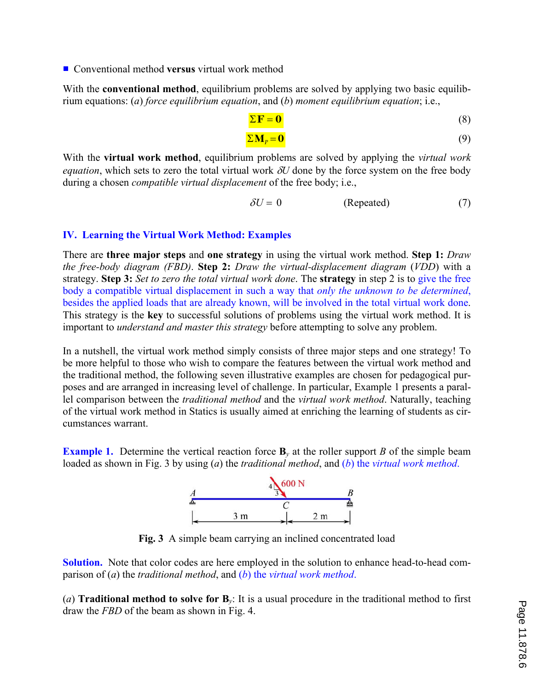■ Conventional method **versus** virtual work method

With the **conventional method**, equilibrium problems are solved by applying two basic equilibrium equations: (*a*) *force equilibrium equation*, and (*b*) *moment equilibrium equation*; i.e.,

$$
\Sigma \mathbf{F} = \mathbf{0} \tag{8}
$$

$$
\Sigma \mathbf{M}_p = \mathbf{0} \tag{9}
$$

With the **virtual work method**, equilibrium problems are solved by applying the *virtual work equation*, which sets to zero the total virtual work  $\delta U$  done by the force system on the free body during a chosen *compatible virtual displacement* of the free body; i.e.,

$$
\delta U = 0 \qquad \qquad (\text{Repeated}) \tag{7}
$$

# **IV. Learning the Virtual Work Method: Examples**

There are **three major steps** and **one strategy** in using the virtual work method. **Step 1:** *Draw the free-body diagram (FBD)*. **Step 2:** *Draw the virtual-displacement diagram* (*VDD*) with a strategy. **Step 3:** *Set to zero the total virtual work done*. The **strategy** in step 2 is to give the free body a compatible virtual displacement in such a way that *only the unknown to be determined*, besides the applied loads that are already known, will be involved in the total virtual work done. This strategy is the **key** to successful solutions of problems using the virtual work method. It is important to *understand and master this strategy* before attempting to solve any problem.

In a nutshell, the virtual work method simply consists of three major steps and one strategy! To be more helpful to those who wish to compare the features between the virtual work method and the traditional method, the following seven illustrative examples are chosen for pedagogical purposes and are arranged in increasing level of challenge. In particular, Example 1 presents a parallel comparison between the *traditional method* and the *virtual work method*. Naturally, teaching of the virtual work method in Statics is usually aimed at enriching the learning of students as circumstances warrant.

**Example 1.** Determine the vertical reaction force  $\mathbf{B}_y$  at the roller support *B* of the simple beam loaded as shown in Fig. 3 by using (*a*) the *traditional method*, and (*b*) the *virtual work method*.



**Fig. 3** A simple beam carrying an inclined concentrated load

**Solution.** Note that color codes are here employed in the solution to enhance head-to-head comparison of (*a*) the *traditional method*, and (*b*) the *virtual work method*.

(*a*) **Traditional method to solve for B***y*: It is a usual procedure in the traditional method to first draw the *FBD* of the beam as shown in Fig. 4.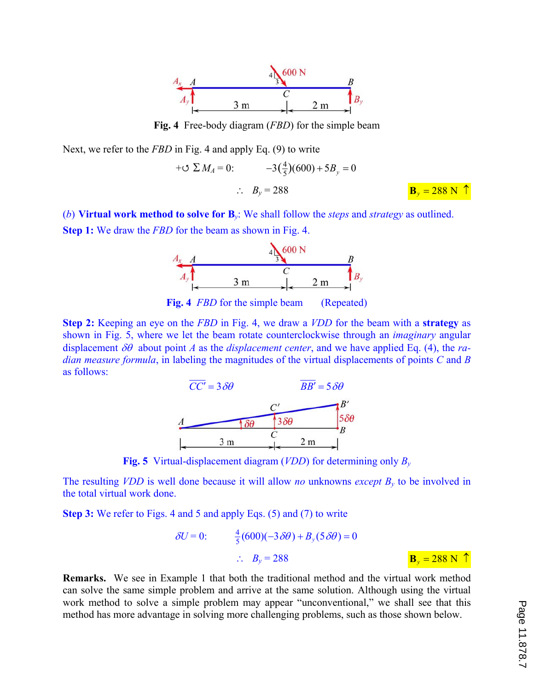

**Fig. 4** Free-body diagram (*FBD*) for the simple beam

Next, we refer to the *FBD* in Fig. 4 and apply Eq. (9) to write

$$
+ \text{C} \ \Sigma \ M_A = 0: \qquad -3\left(\frac{4}{5}\right)(600) + 5B_y = 0
$$
\n
$$
\therefore \ B_y = 288 \qquad \qquad \frac{\text{B}_y = 288 \ N \ \uparrow}{}
$$

(*b*) **Virtual work method to solve for B***y*: We shall follow the *steps* and *strategy* as outlined. **Step 1:** We draw the *FBD* for the beam as shown in Fig. 4.



**Fig. 4** *FBD* for the simple beam (Repeated)

**Step 2:** Keeping an eye on the *FBD* in Fig. 4, we draw a *VDD* for the beam with a **strategy** as shown in Fig. 5, where we let the beam rotate counterclockwise through an *imaginary* angular displacement  $\delta\theta$  about point *A* as the *displacement center*, and we have applied Eq. (4), the *radian measure formula*, in labeling the magnitudes of the virtual displacements of points *C* and *B* as follows:



**Fig. 5** Virtual-displacement diagram (*VDD*) for determining only *B<sup>y</sup>*

The resulting *VDD* is well done because it will allow *no* unknowns *except By* to be involved in the total virtual work done.

**Step 3:** We refer to Figs. 4 and 5 and apply Eqs. (5) and (7) to write

$$
\delta U = 0: \qquad \frac{4}{5}(600)(-3\delta\theta) + B_y(5\delta\theta) = 0
$$

$$
\therefore B_y = 288 \qquad \qquad \mathbf{B}_y = 288 \text{ N } \uparrow
$$

**Remarks.** We see in Example 1 that both the traditional method and the virtual work method can solve the same simple problem and arrive at the same solution. Although using the virtual work method to solve a simple problem may appear "unconventional," we shall see that this method has more advantage in solving more challenging problems, such as those shown below.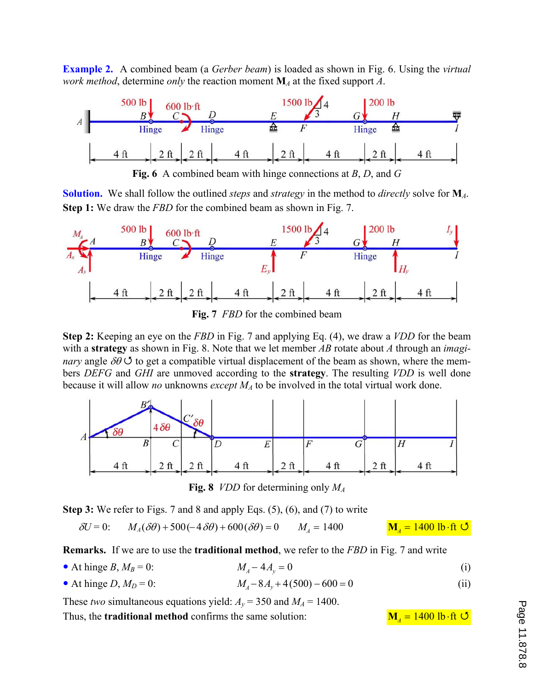**Example 2.** A combined beam (a *Gerber beam*) is loaded as shown in Fig. 6. Using the *virtual work method*, determine *only* the reaction moment **M***A* at the fixed support *A*.



**Fig. 6** A combined beam with hinge connections at *B*, *D*, and *G* 

**Solution.** We shall follow the outlined *steps* and *strategy* in the method to *directly* solve for **M***A*. **Step 1:** We draw the *FBD* for the combined beam as shown in Fig. 7.



**Fig. 7** *FBD* for the combined beam

**Step 2:** Keeping an eye on the *FBD* in Fig. 7 and applying Eq. (4), we draw a *VDD* for the beam with a **strategy** as shown in Fig. 8. Note that we let member *AB* rotate about *A* through an *imaginary* angle  $\delta\theta$  G to get a compatible virtual displacement of the beam as shown, where the members *DEFG* and *GHI* are unmoved according to the **strategy**. The resulting *VDD* is well done because it will allow *no* unknowns *except MA* to be involved in the total virtual work done.



**Fig. 8** *VDD* for determining only *M<sup>A</sup>*

**Step 3:** We refer to Figs. 7 and 8 and apply Eqs. (5), (6), and (7) to write

$$
\delta U = 0: \qquad M_A(\delta \theta) + 500(-4 \delta \theta) + 600(\delta \theta) = 0 \qquad M_A = 1400 \qquad \qquad \mathbf{M}_A = 1400 \text{ lb·ft } \mathbf{U}
$$

**Remarks.** If we are to use the **traditional method**, we refer to the *FBD* in Fig. 7 and write

- At hinge *B*,  $M_B = 0$ :  $M_A 4A_v = 0$  (i)
- At hinge *D*,  $M_D = 0$ :  $M_A 8A_v + 4(500) 600 = 0$  (ii)

These *two* simultaneous equations yield:  $A_y = 350$  and  $M_A = 1400$ . Thus, the **traditional method** confirms the same solution:  $M_A = 1400$  lb ft  $\bullet$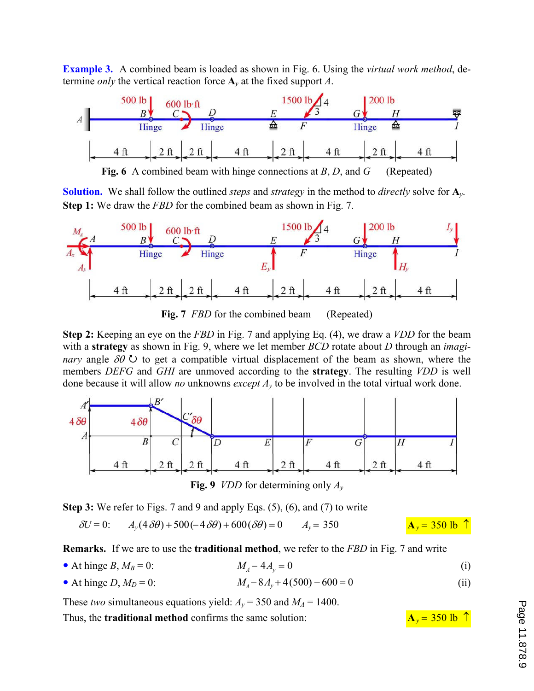**Example 3.** A combined beam is loaded as shown in Fig. 6. Using the *virtual work method*, determine *only* the vertical reaction force **A***y* at the fixed support *A*.



**Solution.** We shall follow the outlined *steps* and *strategy* in the method to *directly* solve for **A***y*. **Step 1:** We draw the *FBD* for the combined beam as shown in Fig. 7.



**Fig. 7** *FBD* for the combined beam (Repeated)

**Step 2:** Keeping an eye on the *FBD* in Fig. 7 and applying Eq. (4), we draw a *VDD* for the beam with a **strategy** as shown in Fig. 9, where we let member *BCD* rotate about *D* through an *imaginary* angle  $\delta \theta$   $\circ$  to get a compatible virtual displacement of the beam as shown, where the members *DEFG* and *GHI* are unmoved according to the **strategy**. The resulting *VDD* is well done because it will allow *no* unknowns *except Ay* to be involved in the total virtual work done.



**Fig. 9** *VDD* for determining only  $A_v$ 

**Step 3:** We refer to Figs. 7 and 9 and apply Eqs. (5), (6), and (7) to write

$$
\delta U = 0:
$$
  $A_y(4\delta\theta) + 500(-4\delta\theta) + 600(\delta\theta) = 0$   $A_y = 350$   $A_y = 350$  lb  $\uparrow$ 

**Remarks.** If we are to use the **traditional method**, we refer to the *FBD* in Fig. 7 and write

- At hinge *B*,  $M_B = 0$ :  $M_A 4A_v = 0$  (i)
- At hinge *D*,  $M_D = 0$ :  $M_A 8A_y + 4(500) 600 = 0$  (ii)

These *two* simultaneous equations yield:  $A_y = 350$  and  $M_A = 1400$ . Thus, the **traditional method** confirms the same solution:  $A_y = 350$  lb  $\hat{ }$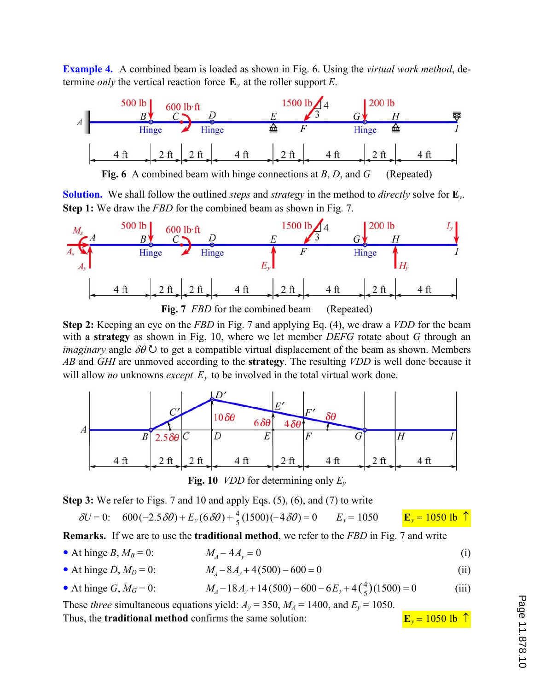**Example 4.** A combined beam is loaded as shown in Fig. 6. Using the *virtual work method*, determine *only* the vertical reaction force  $\mathbf{E}_y$  at the roller support *E*.



**Fig. 6** A combined beam with hinge connections at *B*, *D*, and *G* (Repeated)

**Solution.** We shall follow the outlined *steps* and *strategy* in the method to *directly* solve for **E***y*. **Step 1:** We draw the *FBD* for the combined beam as shown in Fig. 7.



**Step 2:** Keeping an eye on the *FBD* in Fig. 7 and applying Eq. (4), we draw a *VDD* for the beam with a **strategy** as shown in Fig. 10, where we let member *DEFG* rotate about *G* through an *imaginary* angle  $\delta \theta$   $\cup$  to get a compatible virtual displacement of the beam as shown. Members *AB* and *GHI* are unmoved according to the **strategy**. The resulting *VDD* is well done because it will allow *no* unknowns *except*  $E<sub>y</sub>$  to be involved in the total virtual work done.





**Step 3:** We refer to Figs. 7 and 10 and apply Eqs. (5), (6), and (7) to write

$$
\delta U = 0: \quad 600 \left( -2.5 \delta \theta \right) + E_y \left( 6 \delta \theta \right) + \frac{4}{5} (1500) \left( -4 \delta \theta \right) = 0 \qquad E_y = 1050 \qquad \qquad \frac{\mathbf{E}_y}{\mathbf{E}_y} = 1050 \text{ lb} \quad \uparrow
$$

**Remarks.** If we are to use the **traditional method**, we refer to the *FBD* in Fig. 7 and write

- At hinge *B*,  $M_B = 0$ :  $M_A 4A_y = 0$  (i)
- At hinge *D*,  $M_D = 0$ :  $M_A 8A_v + 4(500) 600 = 0$  (ii)
- At hinge *G*,  $M_G = 0$ :  $M_A 18A_y + 14(500) 600 6E_y + 4(\frac{4}{5})(1500) = 0$  (iii)

These *three* simultaneous equations yield:  $A_y = 350$ ,  $M_A = 1400$ , and  $E_y = 1050$ . Thus, the **traditional method** confirms the same solution: **E**<sub>*y*</sub> = 1050 lb  $\uparrow$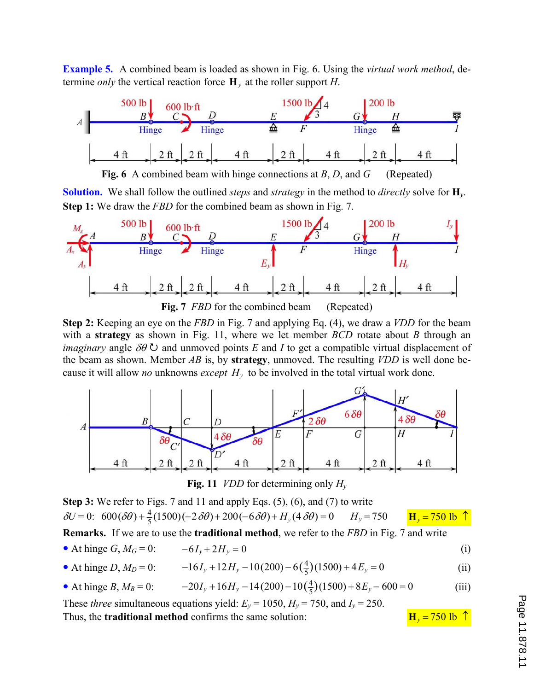**Example 5.** A combined beam is loaded as shown in Fig. 6. Using the *virtual work method*, determine *only* the vertical reaction force  $\mathbf{H}_v$  at the roller support *H*.



**Fig. 6** A combined beam with hinge connections at *B*, *D*, and *G* (Repeated)

**Solution.** We shall follow the outlined *steps* and *strategy* in the method to *directly* solve for **H***y*. **Step 1:** We draw the *FBD* for the combined beam as shown in Fig. 7.



**Step 2:** Keeping an eye on the *FBD* in Fig. 7 and applying Eq. (4), we draw a *VDD* for the beam

with a **strategy** as shown in Fig. 11, where we let member *BCD* rotate about *B* through an *imaginary* angle  $\delta \theta$   $\circ$  and unmoved points *E* and *I* to get a compatible virtual displacement of the beam as shown. Member *AB* is, by **strategy**, unmoved. The resulting *VDD* is well done because it will allow *no* unknowns *except Hy* to be involved in the total virtual work done.



**Fig. 11** *VDD* for determining only *H<sup>y</sup>*

**Step 3:** We refer to Figs. 7 and 11 and apply Eqs. (5), (6), and (7) to write  $\delta U = 0$ :  $600(\delta\theta) + \frac{4}{5}(1500)(-2\delta\theta) + 200(-6\delta\theta) + H_y(4\delta\theta) = 0$   $H_y = 750$   $H_y = 750$  lb  $\uparrow$ 

**Remarks.** If we are to use the **traditional method**, we refer to the *FBD* in Fig. 7 and write

• At hinge 
$$
G, M_G = 0
$$
:  $-6I_y + 2H_y = 0$  (i)

• At hinge *D*, 
$$
M_D = 0
$$
:  $-16I_y + 12H_y - 10(200) - 6(\frac{4}{5})(1500) + 4E_y = 0$  (ii)

• At hinge *B*, 
$$
M_B = 0
$$
:  $-20I_y + 16H_y - 14(200) - 10(\frac{4}{5})(1500) + 8E_y - 600 = 0$  (iii)

These *three* simultaneous equations yield:  $E_y = 1050$ ,  $H_y = 750$ , and  $I_y = 250$ . Thus, the **traditional method** confirms the same solution:  $H_y = 750$  lb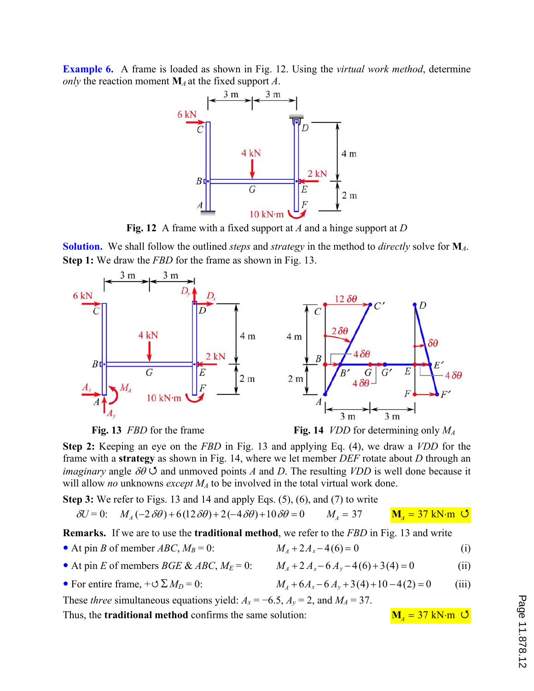**Example 6.** A frame is loaded as shown in Fig. 12. Using the *virtual work method*, determine *only* the reaction moment **M***<sup>A</sup>* at the fixed support *A*.



**Fig. 12** A frame with a fixed support at *A* and a hinge support at *D*

**Solution.** We shall follow the outlined *steps* and *strategy* in the method to *directly* solve for **M***A*. **Step 1:** We draw the *FBD* for the frame as shown in Fig. 13.







**Step 2:** Keeping an eye on the *FBD* in Fig. 13 and applying Eq. (4), we draw a *VDD* for the frame with a **strategy** as shown in Fig. 14, where we let member *DEF* rotate about *D* through an *imaginary* angle  $\delta\theta$   $\circ$  and unmoved points *A* and *D*. The resulting *VDD* is well done because it will allow *no* unknowns *except MA* to be involved in the total virtual work done.

**Step 3:** We refer to Figs. 13 and 14 and apply Eqs. (5), (6), and (7) to write

$$
\delta U = 0: \quad M_A(-2\delta\theta) + 6(12\delta\theta) + 2(-4\delta\theta) + 10\delta\theta = 0 \qquad M_A = 37 \qquad \mathbf{M}_A = 37 \text{ kN} \cdot \text{m} \quad \mathbf{O}
$$

**Remarks.** If we are to use the **traditional method**, we refer to the *FBD* in Fig. 13 and write

- At pin *B* of member *ABC*,  $M_B = 0$ :  $M_A + 2A_x 4(6) = 0$  (i)
- At pin *E* of members *BGE & ABC*,  $M_E = 0$ :  $M_A + 2A_x 6A_y 4(6) + 3(4) = 0$  (ii)
- 

• For entire frame,  $+\sigma \Sigma M_D = 0$ :  $M_A + 6A_x - 6A_y + 3(4) + 10 - 4(2) = 0$  (iii)

These *three* simultaneous equations yield:  $A_x = -6.5$ ,  $A_y = 2$ , and  $M_A = 37$ .

Thus, the **traditional method** confirms the same solution:

$$
M_4 = 37 \text{ kN} \cdot \text{m} \quad \text{O}
$$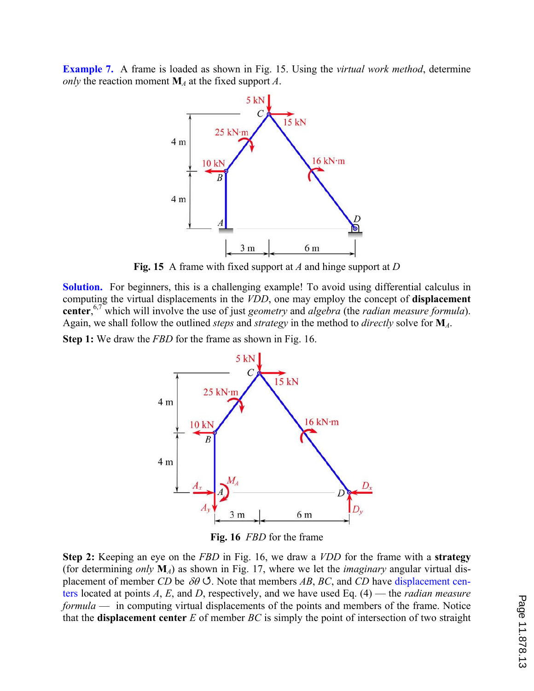**Example 7.** A frame is loaded as shown in Fig. 15. Using the *virtual work method*, determine *only* the reaction moment  $M_A$  at the fixed support *A*.



**Fig. 15** A frame with fixed support at *A* and hinge support at *D*

**Solution.** For beginners, this is a challenging example! To avoid using differential calculus in computing the virtual displacements in the *VDD*, one may employ the concept of **displacement center**, 6,7 which will involve the use of just *geometry* and *algebra* (the *radian measure formula*). Again, we shall follow the outlined *steps* and *strategy* in the method to *directly* solve for **M***A*.

**Step 1:** We draw the *FBD* for the frame as shown in Fig. 16.



**Fig. 16** *FBD* for the frame

**Step 2:** Keeping an eye on the *FBD* in Fig. 16, we draw a *VDD* for the frame with a **strategy** (for determining *only* **M***A*) as shown in Fig. 17, where we let the *imaginary* angular virtual displacement of member *CD* be  $\delta\theta$   $\circ$ . Note that members *AB*, *BC*, and *CD* have displacement centers located at points *A*, *E*, and *D*, respectively, and we have used Eq. (4) — the *radian measure formula* — in computing virtual displacements of the points and members of the frame. Notice that the **displacement center** *E* of member *BC* is simply the point of intersection of two straight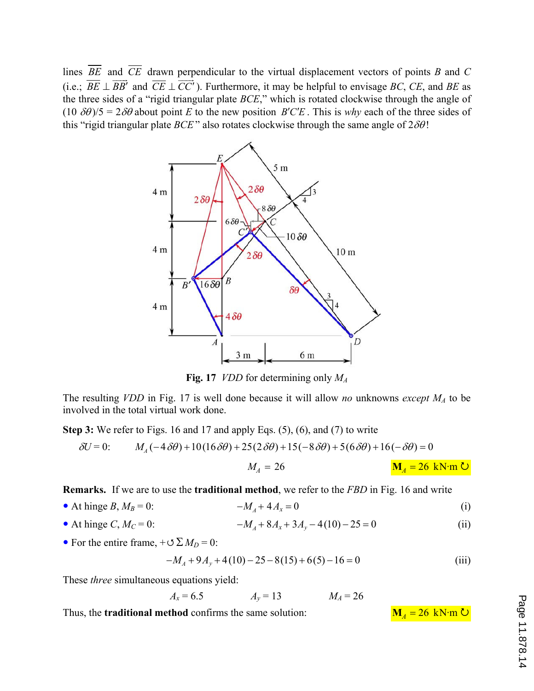lines *BE* and *CE* drawn perpendicular to the virtual displacement vectors of points *B* and *C*  $(i.e., BE \perp BB'$  $\frac{1}{1}$ and  $CE \perp CC'$  $\frac{1}{\sqrt{1-\frac{1}{2}}}$ ). Furthermore, it may be helpful to envisage *BC*, *CE*, and *BE* as the three sides of a "rigid triangular plate *BCE*," which is rotated clockwise through the angle of  $(10 \delta\theta)/5 = 2\delta\theta$  about point *E* to the new position *B'C'E*. This is *why* each of the three sides of this "rigid triangular plate  $BCE$ " also rotates clockwise through the same angle of  $2\delta\theta$ !



**Fig. 17** *VDD* for determining only *M<sup>A</sup>*

The resulting *VDD* in Fig. 17 is well done because it will allow *no* unknowns *except MA* to be involved in the total virtual work done.

**Step 3:** We refer to Figs. 16 and 17 and apply Eqs. (5), (6), and (7) to write

$$
\delta U = 0: \qquad M_A(-4\,\delta\theta) + 10(16\,\delta\theta) + 25(2\,\delta\theta) + 15(-8\,\delta\theta) + 5(6\,\delta\theta) + 16(-\,\delta\theta) = 0
$$

$$
M_A = 26 \qquad \qquad \mathbf{M}_A = 26 \text{ kN·m } \mathbf{U}
$$

**Remarks.** If we are to use the **traditional method**, we refer to the *FBD* in Fig. 16 and write

- At hinge *B*,  $M_B = 0$ :  $-M_A + 4A_x = 0$ (i)
- At hinge *C*,  $M_C = 0$ :  $-M_A + 8A_x + 3A_y 4(10) 25 = 0$ (ii)
- For the entire frame,  $+\circ \Sigma M_D = 0$ :

$$
-M_A + 9A_y + 4(10) - 25 - 8(15) + 6(5) - 16 = 0
$$
 (iii)

These *three* simultaneous equations yield:

 $A_x = 6.5$   $A_y = 13$   $M_A = 26$ 

Thus, the **traditional method** confirms the same solution:  $M_A = 26$  kN·m  $\bullet$